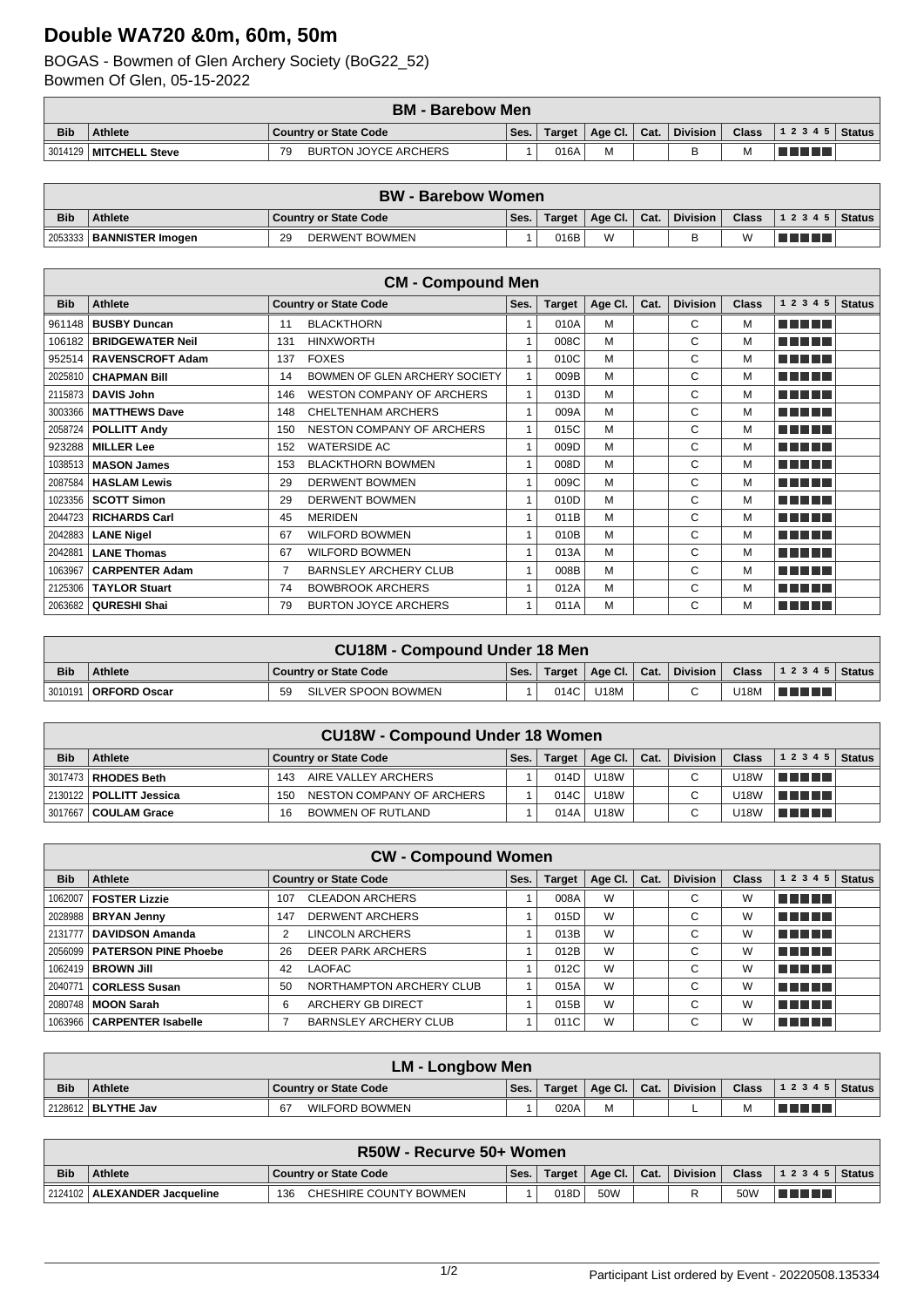## **Double WA720 &0m, 60m, 50m**

## BOGAS - Bowmen of Glen Archery Society (BoG22\_52) Bowmen Of Glen, 05-15-2022

|            |                          | <b>BM - Barebow Men</b>           |      |        |                |                 |       |                    |  |
|------------|--------------------------|-----------------------------------|------|--------|----------------|-----------------|-------|--------------------|--|
| <b>Bib</b> | <b>Athlete</b>           | <b>Country or State Code</b>      | Ses. | Target | Age Cl.   Cat. | <b>Division</b> | Class | 1 2 3 4 5   Status |  |
|            | 3014129   MITCHELL Steve | <b>BURTON JOYCE ARCHERS</b><br>70 |      | 016A   | M              |                 | м     |                    |  |

|            | <b>⁄ BW - Barebow Women</b> |                              |      |         |                |  |                 |              |                  |  |
|------------|-----------------------------|------------------------------|------|---------|----------------|--|-----------------|--------------|------------------|--|
| <b>Bib</b> | <b>Athlete</b>              | <b>Country or State Code</b> | Ses. | Target, | Age Cl.   Cat. |  | <b>Division</b> | <b>Class</b> | $ 12345 $ Status |  |
| 2053333    | BANNISTER Imogen            | <b>DERWENT BOWMEN</b><br>29  |      | 016B    | W              |  |                 | W            | T FIFT           |  |

|            |                         |     | <b>CM - Compound Men</b>         |                         |               |         |      |                 |              |               |               |
|------------|-------------------------|-----|----------------------------------|-------------------------|---------------|---------|------|-----------------|--------------|---------------|---------------|
| <b>Bib</b> | Athlete                 |     | <b>Country or State Code</b>     | Ses.                    | <b>Target</b> | Age Cl. | Cat. | <b>Division</b> | <b>Class</b> | 1 2 3 4 5     | <b>Status</b> |
| 961148     | <b>BUSBY Duncan</b>     | 11  | <b>BLACKTHORN</b>                |                         | 010A          | M       |      | C               | M            | n din din     |               |
| 106182     | <b>BRIDGEWATER Neil</b> | 131 | <b>HINXWORTH</b>                 |                         | 008C          | M       |      | C               | М            | n din din b   |               |
| 952514     | <b>RAVENSCROFT Adam</b> | 137 | <b>FOXES</b>                     |                         | 010C          | M       |      | C               | М            | n na ma       |               |
| 2025810    | <b>CHAPMAN Bill</b>     | 14  | BOWMEN OF GLEN ARCHERY SOCIETY   |                         | 009B          | M       |      | C               | M            | a na mats     |               |
| 2115873    | <b>DAVIS John</b>       | 146 | <b>WESTON COMPANY OF ARCHERS</b> |                         | 013D          | M       |      | C               | M            | a da birn     |               |
| 3003366    | <b>MATTHEWS Dave</b>    | 148 | <b>CHELTENHAM ARCHERS</b>        |                         | 009A          | M       |      | C               | М            | a na mats     |               |
|            | 2058724   POLLITT Andy  | 150 | NESTON COMPANY OF ARCHERS        | $\overline{\mathbf{A}}$ | 015C          | м       |      | C               | М            | n na mats     |               |
| 923288     | <b>MILLER Lee</b>       | 152 | <b>WATERSIDE AC</b>              |                         | 009D          | M       |      | C               | M            | a da birn     |               |
| 1038513    | <b>MASON James</b>      | 153 | <b>BLACKTHORN BOWMEN</b>         |                         | 008D          | M       |      | C               | M            | n na mata     |               |
| 2087584    | <b>HASLAM Lewis</b>     | 29  | <b>DERWENT BOWMEN</b>            |                         | 009C          | M       |      | C               | M            | a na mats     |               |
| 1023356    | <b>SCOTT Simon</b>      | 29  | <b>DERWENT BOWMEN</b>            |                         | 010D          | M       |      | C               | M            | a da birn     |               |
| 2044723    | <b>RICHARDS Carl</b>    | 45  | <b>MERIDEN</b>                   |                         | 011B          | M       |      | C               | M            | a da birn     |               |
| 2042883    | <b>LANE Nigel</b>       | 67  | <b>WILFORD BOWMEN</b>            |                         | 010B          | M       |      | C               | M            | a da birn     |               |
| 2042881    | <b>LANE Thomas</b>      | 67  | <b>WILFORD BOWMEN</b>            |                         | 013A          | M       |      | C               | M            | a na mats     |               |
| 1063967    | <b>CARPENTER Adam</b>   |     | <b>BARNSLEY ARCHERY CLUB</b>     |                         | 008B          | M       |      | C               | М            | n din din b   |               |
| 2125306    | <b>TAYLOR Stuart</b>    | 74  | <b>BOWBROOK ARCHERS</b>          |                         | 012A          | M       |      | C               | М            | MA MARIT      |               |
|            | 2063682   QURESHI Shai  | 79  | <b>BURTON JOYCE ARCHERS</b>      |                         | 011A          | M       |      | C               | М            | <u>man ma</u> |               |

|            | <b>CU18M - Compound Under 18 Men</b> |                           |          |        |                                      |  |          |      |                                |  |
|------------|--------------------------------------|---------------------------|----------|--------|--------------------------------------|--|----------|------|--------------------------------|--|
| <b>Bib</b> | <b>Athlete</b>                       | Country or State Code     | Ses. $ $ | Target | $\parallel$ Age Cl. $\parallel$ Cat. |  | Division |      | Class $\vert$ 1 2 3 4 5 Status |  |
|            | 3010191   ORFORD Oscar               | SILVER SPOON BOWMEN<br>59 |          | 014C   | U18M                                 |  |          | U18M | l Timo Timo                    |  |

|            | <b>CU18W - Compound Under 18 Women</b> |                                  |      |        |                |  |          |              |               |               |  |
|------------|----------------------------------------|----------------------------------|------|--------|----------------|--|----------|--------------|---------------|---------------|--|
| <b>Bib</b> | Athlete                                | <b>Country or State Code</b>     | Ses. | Target | Age Cl.   Cat. |  | Division | <b>Class</b> | 1 2 3 4 5     | <b>Status</b> |  |
|            | 3017473   RHODES Beth_                 | AIRE VALLEY ARCHERS<br>143       |      | 014D   | U18W           |  |          | U18W         | l Timor Timor |               |  |
|            | 2130122   POLLITT Jessica              | NESTON COMPANY OF ARCHERS<br>150 |      | 014C   | <b>U18W</b>    |  |          | U18W         | TELELL        |               |  |
|            | 3017667   COULAM Grace                 | BOWMEN OF RUTLAND<br>16          |      | 014A   | <b>U18W</b>    |  |          | <b>U18W</b>  | TELELL        |               |  |

|            | <b>CW - Compound Women</b>     |     |                              |      |               |                 |      |                 |              |                   |               |
|------------|--------------------------------|-----|------------------------------|------|---------------|-----------------|------|-----------------|--------------|-------------------|---------------|
| <b>Bib</b> | Athlete                        |     | <b>Country or State Code</b> | Ses. | <b>Target</b> | Age Cl. $\vert$ | Cat. | <b>Division</b> | <b>Class</b> | 1 2 3 4 5         | <b>Status</b> |
| 1062007    | <b>FOSTER Lizzie</b>           | 107 | <b>CLEADON ARCHERS</b>       |      | 008A          | W               |      | C               | W            | T T T             |               |
| 2028988    | <b>BRYAN Jenny</b>             | 147 | <b>DERWENT ARCHERS</b>       |      | 015D          | W               |      | C               | W            | T FIFITI          |               |
| 2131777    | <b>DAVIDSON Amanda</b>         |     | <b>LINCOLN ARCHERS</b>       |      | 013B          | W               |      | С               | W            | T FIFTI T         |               |
|            | 2056099   PATERSON PINE Phoebe | 26  | <b>DEER PARK ARCHERS</b>     |      | 012B          | W               |      | C               | W            | n din bin         |               |
|            | 1062419   <b>BROWN Jill</b>    | 42  | <b>LAOFAC</b>                |      | 012C          | W               |      | C               | W            | T FIFIT F         |               |
| 2040771    | <b>CORLESS Susan</b>           | 50  | NORTHAMPTON ARCHERY CLUB     |      | 015A          | W               |      | C               | W            | n din bir         |               |
| 2080748    | <b>MOON Sarah</b>              | 6   | <b>ARCHERY GB DIRECT</b>     |      | 015B          | W               |      | С               | W            | TELEL             |               |
|            | 1063966   CARPENTER Isabelle   |     | <b>BARNSLEY ARCHERY CLUB</b> |      | 011C          | W               |      | $\sim$          | W            | <u> Timbul Sa</u> |               |

|            | <b>LM - Longbow Men</b>     |                              |      |                |                            |  |                 |   |  |  |
|------------|-----------------------------|------------------------------|------|----------------|----------------------------|--|-----------------|---|--|--|
| <b>Bib</b> | <b>Athlete</b>              | <b>Country or State Code</b> | Ses. | Target $\vert$ | $\Box$ Age Cl. $\Box$ Cat. |  | <b>Division</b> |   |  |  |
|            | 2128612   <b>BLYTHE Jav</b> | <b>WILFORD BOWMEN</b><br>67  |      | 020A           | M                          |  |                 | M |  |  |

|            | <b>R50W - Recurve 50+ Women</b> |                               |      |        |                        |       |          |     |                                        |  |
|------------|---------------------------------|-------------------------------|------|--------|------------------------|-------|----------|-----|----------------------------------------|--|
| <b>Bib</b> | <b>Athlete</b>                  | Country or State Code         | Ses. | Target | ⊺ Age Cl. <sup>∣</sup> | 'Cat. | Division |     | Class $\vert$ 1 2 3 4 5 $\vert$ Status |  |
|            | 2124102   ALEXANDER Jacqueline  | CHESHIRE COUNTY BOWMEN<br>136 |      | 018D   | 50W                    |       |          | 50W | T FI FI FI                             |  |